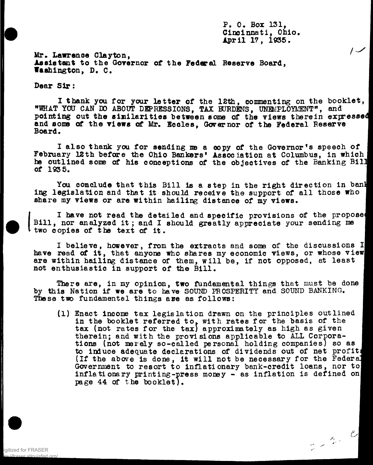**P, 0. Box 131, Cincinnati, Ohio. April 17, 1935.**

Mr. Lawrence Clayton, **Assistant to the Governor of the Federal Reserve Board, Washington, D, C.**

**Dear Sir :**

I thank you for your letter of the 12th, commenting on the booklet, **"WHAT YOU CAN DO ABOUT DEPRESSIONS, TAX BURDENS, UNEMPLOYMENT", and** pointing out the similarities between some of the views therein expressed **and some of the views of Mr. Ecoles, Governor of the Federal Reserve Board.**

I also thank you for sending me a copy of the Governor's speech of **February 12th before the Ohio Bankers' Association at Columbus, in which he outlined some of his conceptions of the objectives of the Banking Bil] of 193 5.**

You conclude that this Bill is a step in the right direction in ban! **ing legislation and that it should receive the support of all those who share my views or are within hailing distance of my views.**

I have not read the detailed and specific provisions of the propose **Bill , nor analyzed it ; and I should greatly appreciate your sending me two copies of the text of it . I**

**I believe , however, from the extracts and some of the discussions II have read of it , that anyone who shares my economic views, or whose viewj** are within hailing distance of them, will be, if not opposed, at least not enthusiastic in support of the Bill.

There are, in my opinion, two fundamental things that must be done **by this Nation if we are to have SOUND PROSPERITY and SOUND BANKING. I These two fundamental things are as follows: I**

**(1) Enact income tax legislatio n drawn on the principle s outlined I** in the booklet referred to, with rates for the basis of the tax (not rates for the tax) approximately as high as given therein; and with the provisions applicable to ALL Corporations (not merely so-called personal holding companies) so as **to induce adequate declarations of dividends out of net profit ^ (If the above is done, it wil l not be necessary for the Federal** Government to resort to inflationary bank-credit loans, nor to **inflationary printing-press money - as inflation is defined on page 44 of the booklet). I**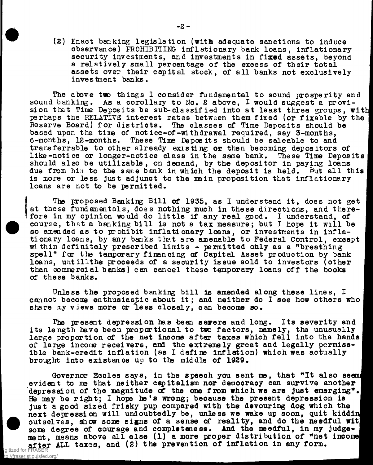**(2) Enact banking legislation (with adequate sanctions to induce observance) PROHIBITING inflationary bank loans, inflationary security investments, and investments in fixed assets, beyond a relatively small percentage of the excess of their total assets over their capital stock, of all banks not exclusively investment banks.**

**The above two things I consider fundamental to sound prosperity and** sound banking. As a corollary to No. 2 above, I would suggest a provision that Time Deposits be sub-classified into at least three groups, with **perhaps the RELATIVE interest rates between them fixed (or fixable by the Reserve Board) for districts. The classes of Time Deposits should be** based upon the time of notice-of-withdrawal required, say 3-months, 6-months, 12-months. These Time Deposits should be saleable to and These Time Deposits should be saleable to and **transferrable to other already existing or then becoming depositors of like-notice or longer-notice class in the same bank. These Time Deposits should also be utilizable , on demand, by the depositor in paying loans due from hini to the same bank in which the deposit is held. But all this is more or less just adjunct to the main proposition that inflationary loans are not to be permitted.**

**The proposed Banking Bill of 1935, as I understand it, does not get** *\* **at these fundamentals, does nothing much in these directions, and there**fore in my opinion would do little if any real good. I understand, of **course, that a banking bill is not a tax measure; but I hope it will be so amended as to prohibit inflationary loans, or investments in inflationary loans, by any banks the.t are amenable to Federal Control, exoept within definitely prescribed limits - permitted only as a "breathing I spell" for the temporary financing of Capital Asset production by bank I** loans, untillthe proceeds of a security issue sold to investors (other than commercial banks) can cancel these temporary loans off the books **of these banks. I**

**Unless the proposed banking bill is amended along these lines, I I** cannot become enthusiastic about it; and neither do I see how others who share my views more or less closely, can become so.

The present depression has been severe and long. Its severity and its length have been proportional to two factors, namely, the unusually large proportion of the net income after taxes which fell into the hands of large income receivers, and the extremely great and legally permiss**ible bank-credit inflation (as I define inflation) which was actually** brought into existance up to the middle of 1929.

Governor Eccles says, in the speech you sent me, that "It also seems evident to me that neither capitalism nor democracy can survive another depression of the magnitude of the one from which we are just emerging". He may be right; I hope he's wrong; because the present depression is just a good sized frisky pup compared with the devouring dog which the next depression will undoubtedly be, unless we wake up soon, quit kiddin **outselves, show some signs of a sense of reality, and do the needful witfl** some degree of courage and completeness. And the needful, in my judgement, means above all else (1) a more proper distribution of "net income after ALL taxes, and (2) the prevention of inflation in any form. igitized for

stlouisfed org Federal Reserve Bank of St. Louis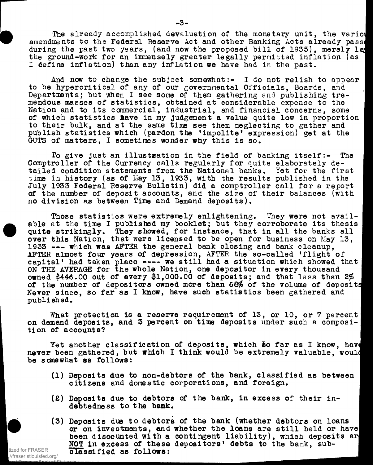**The already accomplished devaluation of the monetary unit, the varioi amendments to the Federal Reserve Act and other Banking Acts already passe during the past two years, (and now the proposed bill of 1935), merely la] the ground-work for an immensely greater legally permitted inflation (as 1 I define inflation) than any inflation we have had in the past.**

**And now to change the subject somewhat:- I do not relish to appear to be hypercritical of any of our governmental Officials, Boards, and Departments; but when I see some of them gathering and publishing tremendous masses of statistics, obtained at considerable expense to the Nation and to its commercial, industrial, and financial concerns, some of which statistics liave in my judgement a value quite low in proportion to their bulk, and at the same time see them neglecting to gather and publish statistics which (pardon the 'impolite\* expression) get at the GUTS of matters, I sometimes wonder why this is so.**

To give just an illustration in the field of banking itself:- The Comptroller of the Currency calls regularly for quite elaborately detailed condition statements from the National banks. Yet for the first time in history (as of May 13, 1933, with the results published in the July 1933 Federal Reserve Bulletin) did a comptroller call for a report **of the number of deposit accounts, and the size of their balances (with I no division as between Time and Demand deposits). I**

**Those statistics were extremely enlightening. They were not avail- I** able at the time I published my booklet; but they corroborate its thesis quite strikingly. They showed, for instance, that in all the banks all **over this Nation, that were licensed to be open for business on May 13, 1933 -— which was AFTER the general bank closing and bank cleanup, I** AFTER almost four years of depression, AFTER the so-called 'flight of capital' had taken place ---- we still had a situation which showed that ON THE AVERAGE for the whole Nation, one depositor in every thousand **owned \$446.00 out of every \$1,000.00 of deposits; and that less than 2% of the number of depositors owned more than 68\$ of the volume of deposits** Never since, so far as I know, have such statistics been gathered and published. published.

What protection is a reserve requirement of 13, or 10, or 7 percent **on demand deposits, and 3 percent on time deposits under such a composi- I tion of accounts? I**

Yet another classification of deposits, which so far as I know, have never been gathered, but which I think would be extremely valuable. would **be somewhat as follows: I**

- **(1) Deposits due to non-debtors of the bank, classified as between I citizens and domestic corporations, and foreign. I**
- (2) Deposits due to debtors of the bank, in excess of their indebtedness to the bank.

**Itized for FRASER** 

Federal Reserve Bank of St. Louis

(3) Deposits due to debtors of the bank (whether debtors on loans or on investments, and whether the loans are still held or have been discounted with a contingent liability), which deposits ar NOT in excess of these depositors' debts to the bank, sub**classified as follows: I** //fraser.stlouisfed.org/